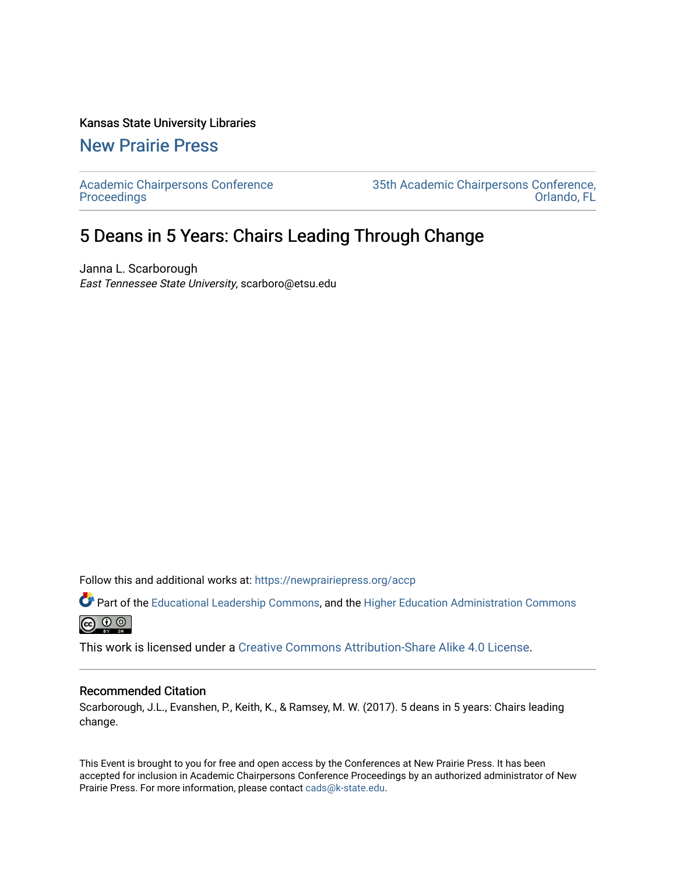#### Kansas State University Libraries

## [New Prairie Press](https://newprairiepress.org/)

[Academic Chairpersons Conference](https://newprairiepress.org/accp)  [Proceedings](https://newprairiepress.org/accp) 

[35th Academic Chairpersons Conference,](https://newprairiepress.org/accp/2018)  [Orlando, FL](https://newprairiepress.org/accp/2018) 

# 5 Deans in 5 Years: Chairs Leading Through Change

Janna L. Scarborough East Tennessee State University, scarboro@etsu.edu

Follow this and additional works at: [https://newprairiepress.org/accp](https://newprairiepress.org/accp?utm_source=newprairiepress.org%2Faccp%2F2018%2Fcolleagues%2F10&utm_medium=PDF&utm_campaign=PDFCoverPages) 

Part of the [Educational Leadership Commons,](http://network.bepress.com/hgg/discipline/1230?utm_source=newprairiepress.org%2Faccp%2F2018%2Fcolleagues%2F10&utm_medium=PDF&utm_campaign=PDFCoverPages) and the [Higher Education Administration Commons](http://network.bepress.com/hgg/discipline/791?utm_source=newprairiepress.org%2Faccp%2F2018%2Fcolleagues%2F10&utm_medium=PDF&utm_campaign=PDFCoverPages)  $\circledcirc$ 

This work is licensed under a [Creative Commons Attribution-Share Alike 4.0 License.](https://creativecommons.org/licenses/by-sa/4.0/)

#### Recommended Citation

Scarborough, J.L., Evanshen, P., Keith, K., & Ramsey, M. W. (2017). 5 deans in 5 years: Chairs leading change.

This Event is brought to you for free and open access by the Conferences at New Prairie Press. It has been accepted for inclusion in Academic Chairpersons Conference Proceedings by an authorized administrator of New Prairie Press. For more information, please contact [cads@k-state.edu.](mailto:cads@k-state.edu)